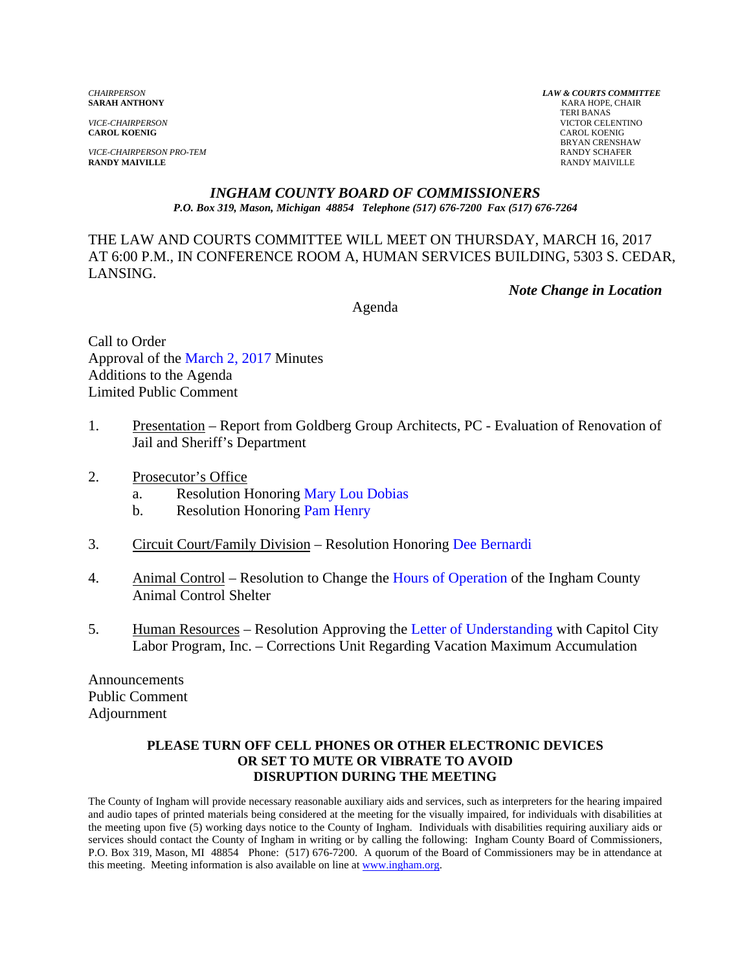**CAROL KOENIG** CAROL KOENIG

*VICE-CHAIRPERSON PRO-TEM* RANDY SCHAFER **RANDY MAIVILLE** RANDY MAIVILLE

*CHAIRPERSON LAW & COURTS COMMITTEE* **KARA HOPE, CHAIR**  TERI BANAS *VICE-CHAIRPERSON* VICTOR CELENTINO BRYAN CRENSHAW

#### *INGHAM COUNTY BOARD OF COMMISSIONERS*

*P.O. Box 319, Mason, Michigan 48854 Telephone (517) 676-7200 Fax (517) 676-7264*

THE LAW AND COURTS COMMITTEE WILL MEET ON THURSDAY, MARCH 16, 2017 AT 6:00 P.M., IN CONFERENCE ROOM A, HUMAN SERVICES BUILDING, 5303 S. CEDAR, LANSING.

*Note Change in Location* 

Agenda

Call to Order Approval of t[he March 2, 2017 Minutes](#page-1-0)  Additions to the Agenda Limited Public Comment

- 1. Presentation Report from Goldberg Group Architects, PC Evaluation of Renovation of Jail and Sheriff's Department
- 2. Prosecutor's Office
	- a. Resolution Honorin[g Mary Lou Dobias](#page-10-0)
	- b. Resolution Honorin[g Pam Henry](#page-11-0)
- 3. Circuit Court/Family Division Resolution Honori[ng Dee Bernardi](#page-12-0)
- 4. Animal Control Resolution to Change t[he Hours of Operation of th](#page-13-0)e Ingham County Animal Control Shelter
- 5. Human Resources Resolution Approving t[he Letter of Understanding with](#page-15-0) Capitol City Labor Program, Inc. – Corrections Unit Regarding Vacation Maximum Accumulation

Announcements Public Comment Adjournment

#### **PLEASE TURN OFF CELL PHONES OR OTHER ELECTRONIC DEVICES OR SET TO MUTE OR VIBRATE TO AVOID DISRUPTION DURING THE MEETING**

The County of Ingham will provide necessary reasonable auxiliary aids and services, such as interpreters for the hearing impaired and audio tapes of printed materials being considered at the meeting for the visually impaired, for individuals with disabilities at the meeting upon five (5) working days notice to the County of Ingham. Individuals with disabilities requiring auxiliary aids or services should contact the County of Ingham in writing or by calling the following: Ingham County Board of Commissioners, P.O. Box 319, Mason, MI 48854 Phone: (517) 676-7200. A quorum of the Board of Commissioners may be in attendance at this meeting. Meeting information is also available on line at www.ingham.org.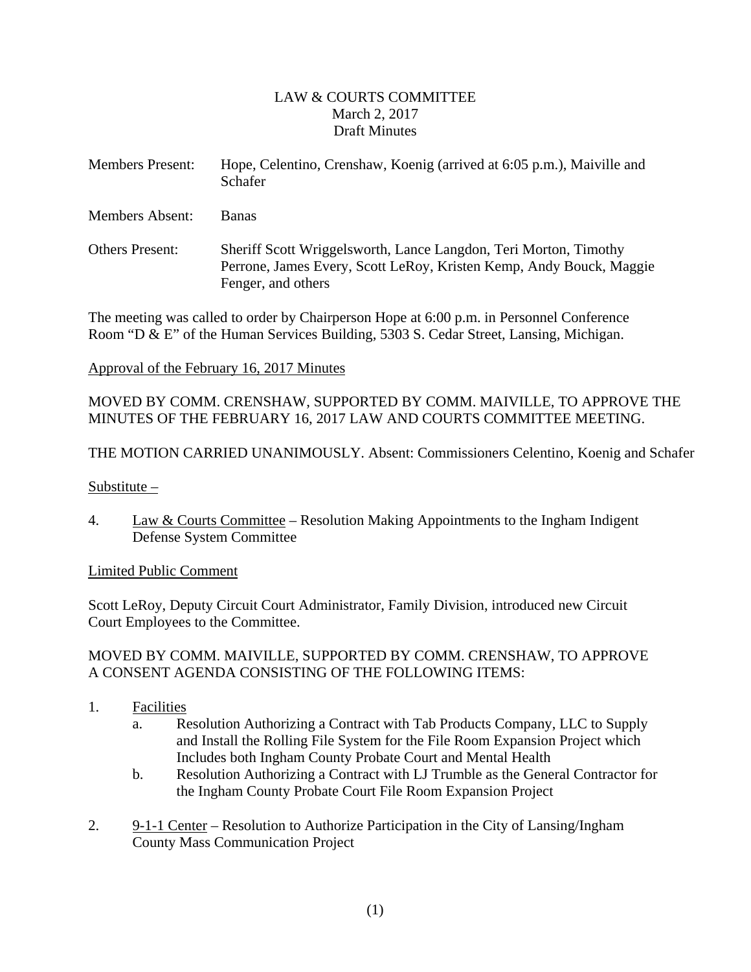## LAW & COURTS COMMITTEE March 2, 2017 Draft Minutes

- <span id="page-1-0"></span>Members Present: Hope, Celentino, Crenshaw, Koenig (arrived at 6:05 p.m.), Maiville and Schafer
- Members Absent: Banas
- Others Present: Sheriff Scott Wriggelsworth, Lance Langdon, Teri Morton, Timothy Perrone, James Every, Scott LeRoy, Kristen Kemp, Andy Bouck, Maggie Fenger, and others

The meeting was called to order by Chairperson Hope at 6:00 p.m. in Personnel Conference Room "D & E" of the Human Services Building, 5303 S. Cedar Street, Lansing, Michigan.

## Approval of the February 16, 2017 Minutes

## MOVED BY COMM. CRENSHAW, SUPPORTED BY COMM. MAIVILLE, TO APPROVE THE MINUTES OF THE FEBRUARY 16, 2017 LAW AND COURTS COMMITTEE MEETING.

THE MOTION CARRIED UNANIMOUSLY. Absent: Commissioners Celentino, Koenig and Schafer

#### Substitute –

4. Law & Courts Committee – Resolution Making Appointments to the Ingham Indigent Defense System Committee

#### Limited Public Comment

Scott LeRoy, Deputy Circuit Court Administrator, Family Division, introduced new Circuit Court Employees to the Committee.

## MOVED BY COMM. MAIVILLE, SUPPORTED BY COMM. CRENSHAW, TO APPROVE A CONSENT AGENDA CONSISTING OF THE FOLLOWING ITEMS:

- 1. Facilities
	- a. Resolution Authorizing a Contract with Tab Products Company, LLC to Supply and Install the Rolling File System for the File Room Expansion Project which Includes both Ingham County Probate Court and Mental Health
	- b. Resolution Authorizing a Contract with LJ Trumble as the General Contractor for the Ingham County Probate Court File Room Expansion Project
- 2. 9-1-1 Center Resolution to Authorize Participation in the City of Lansing/Ingham County Mass Communication Project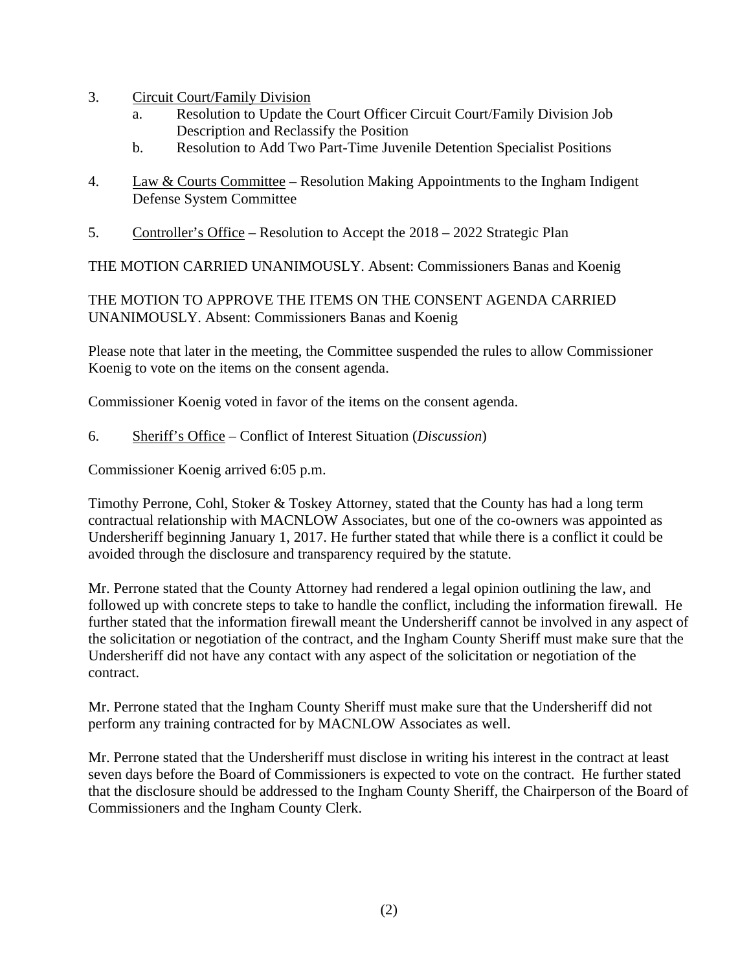- 3. Circuit Court/Family Division
	- a. Resolution to Update the Court Officer Circuit Court/Family Division Job Description and Reclassify the Position
	- b. Resolution to Add Two Part-Time Juvenile Detention Specialist Positions
- 4. Law & Courts Committee Resolution Making Appointments to the Ingham Indigent Defense System Committee
- 5. Controller's Office Resolution to Accept the 2018 2022 Strategic Plan

THE MOTION CARRIED UNANIMOUSLY. Absent: Commissioners Banas and Koenig

THE MOTION TO APPROVE THE ITEMS ON THE CONSENT AGENDA CARRIED UNANIMOUSLY. Absent: Commissioners Banas and Koenig

Please note that later in the meeting, the Committee suspended the rules to allow Commissioner Koenig to vote on the items on the consent agenda.

Commissioner Koenig voted in favor of the items on the consent agenda.

6. Sheriff's Office – Conflict of Interest Situation (*Discussion*)

Commissioner Koenig arrived 6:05 p.m.

Timothy Perrone, Cohl, Stoker & Toskey Attorney, stated that the County has had a long term contractual relationship with MACNLOW Associates, but one of the co-owners was appointed as Undersheriff beginning January 1, 2017. He further stated that while there is a conflict it could be avoided through the disclosure and transparency required by the statute.

Mr. Perrone stated that the County Attorney had rendered a legal opinion outlining the law, and followed up with concrete steps to take to handle the conflict, including the information firewall. He further stated that the information firewall meant the Undersheriff cannot be involved in any aspect of the solicitation or negotiation of the contract, and the Ingham County Sheriff must make sure that the Undersheriff did not have any contact with any aspect of the solicitation or negotiation of the contract.

Mr. Perrone stated that the Ingham County Sheriff must make sure that the Undersheriff did not perform any training contracted for by MACNLOW Associates as well.

Mr. Perrone stated that the Undersheriff must disclose in writing his interest in the contract at least seven days before the Board of Commissioners is expected to vote on the contract. He further stated that the disclosure should be addressed to the Ingham County Sheriff, the Chairperson of the Board of Commissioners and the Ingham County Clerk.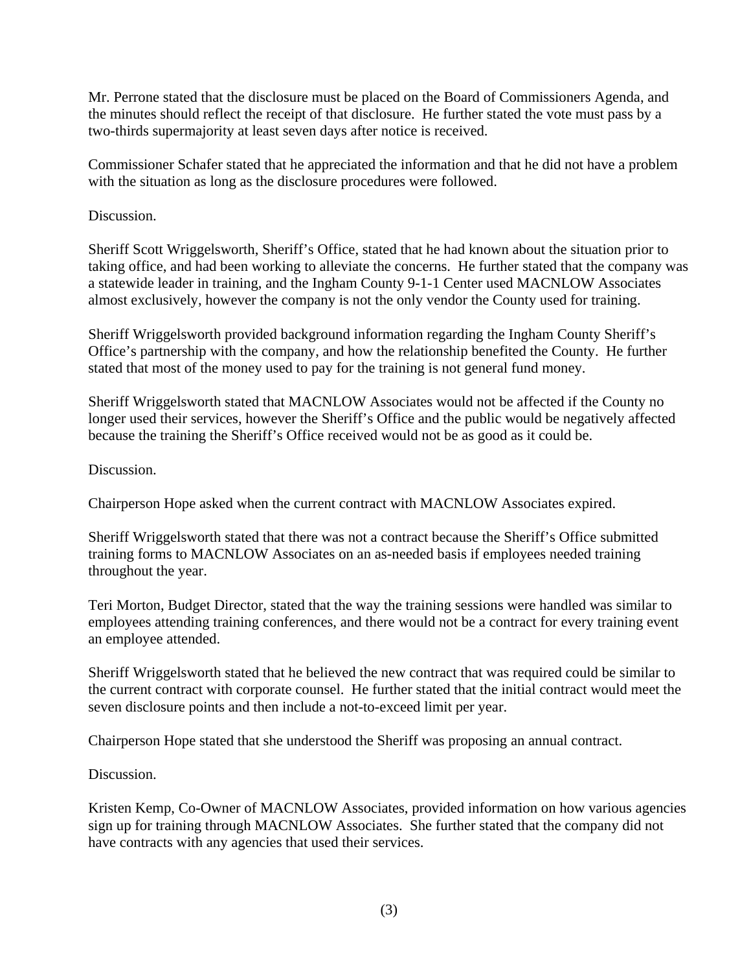Mr. Perrone stated that the disclosure must be placed on the Board of Commissioners Agenda, and the minutes should reflect the receipt of that disclosure. He further stated the vote must pass by a two-thirds supermajority at least seven days after notice is received.

Commissioner Schafer stated that he appreciated the information and that he did not have a problem with the situation as long as the disclosure procedures were followed.

Discussion.

Sheriff Scott Wriggelsworth, Sheriff's Office, stated that he had known about the situation prior to taking office, and had been working to alleviate the concerns. He further stated that the company was a statewide leader in training, and the Ingham County 9-1-1 Center used MACNLOW Associates almost exclusively, however the company is not the only vendor the County used for training.

Sheriff Wriggelsworth provided background information regarding the Ingham County Sheriff's Office's partnership with the company, and how the relationship benefited the County. He further stated that most of the money used to pay for the training is not general fund money.

Sheriff Wriggelsworth stated that MACNLOW Associates would not be affected if the County no longer used their services, however the Sheriff's Office and the public would be negatively affected because the training the Sheriff's Office received would not be as good as it could be.

Discussion.

Chairperson Hope asked when the current contract with MACNLOW Associates expired.

Sheriff Wriggelsworth stated that there was not a contract because the Sheriff's Office submitted training forms to MACNLOW Associates on an as-needed basis if employees needed training throughout the year.

Teri Morton, Budget Director, stated that the way the training sessions were handled was similar to employees attending training conferences, and there would not be a contract for every training event an employee attended.

Sheriff Wriggelsworth stated that he believed the new contract that was required could be similar to the current contract with corporate counsel. He further stated that the initial contract would meet the seven disclosure points and then include a not-to-exceed limit per year.

Chairperson Hope stated that she understood the Sheriff was proposing an annual contract.

Discussion.

Kristen Kemp, Co-Owner of MACNLOW Associates, provided information on how various agencies sign up for training through MACNLOW Associates. She further stated that the company did not have contracts with any agencies that used their services.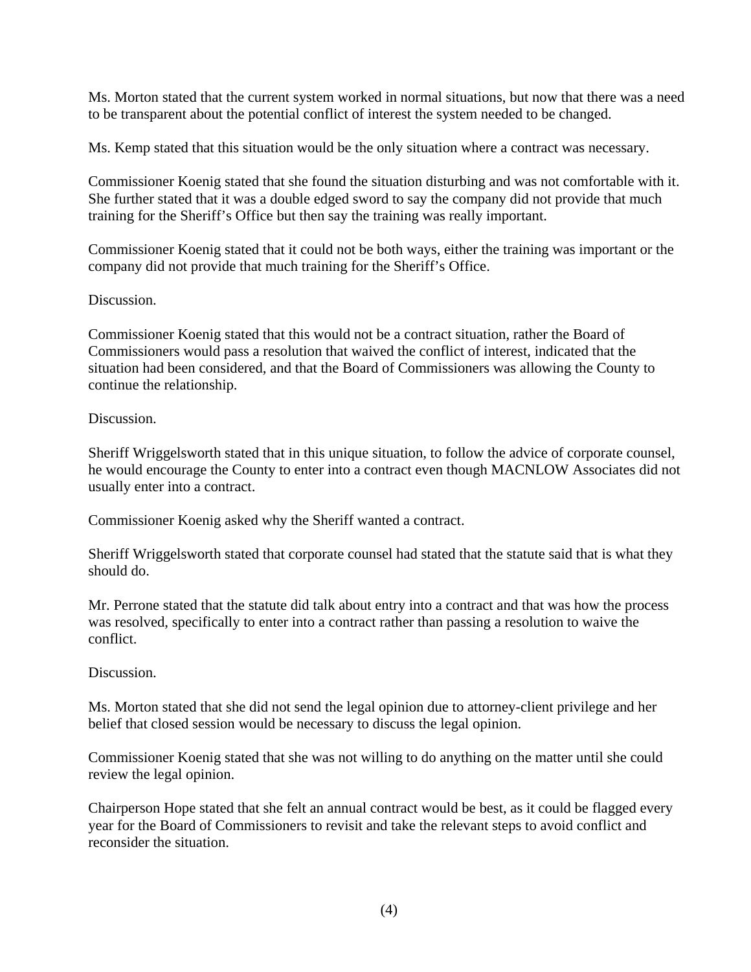Ms. Morton stated that the current system worked in normal situations, but now that there was a need to be transparent about the potential conflict of interest the system needed to be changed.

Ms. Kemp stated that this situation would be the only situation where a contract was necessary.

Commissioner Koenig stated that she found the situation disturbing and was not comfortable with it. She further stated that it was a double edged sword to say the company did not provide that much training for the Sheriff's Office but then say the training was really important.

Commissioner Koenig stated that it could not be both ways, either the training was important or the company did not provide that much training for the Sheriff's Office.

#### Discussion.

Commissioner Koenig stated that this would not be a contract situation, rather the Board of Commissioners would pass a resolution that waived the conflict of interest, indicated that the situation had been considered, and that the Board of Commissioners was allowing the County to continue the relationship.

## Discussion.

Sheriff Wriggelsworth stated that in this unique situation, to follow the advice of corporate counsel, he would encourage the County to enter into a contract even though MACNLOW Associates did not usually enter into a contract.

Commissioner Koenig asked why the Sheriff wanted a contract.

Sheriff Wriggelsworth stated that corporate counsel had stated that the statute said that is what they should do.

Mr. Perrone stated that the statute did talk about entry into a contract and that was how the process was resolved, specifically to enter into a contract rather than passing a resolution to waive the conflict.

#### Discussion.

Ms. Morton stated that she did not send the legal opinion due to attorney-client privilege and her belief that closed session would be necessary to discuss the legal opinion.

Commissioner Koenig stated that she was not willing to do anything on the matter until she could review the legal opinion.

Chairperson Hope stated that she felt an annual contract would be best, as it could be flagged every year for the Board of Commissioners to revisit and take the relevant steps to avoid conflict and reconsider the situation.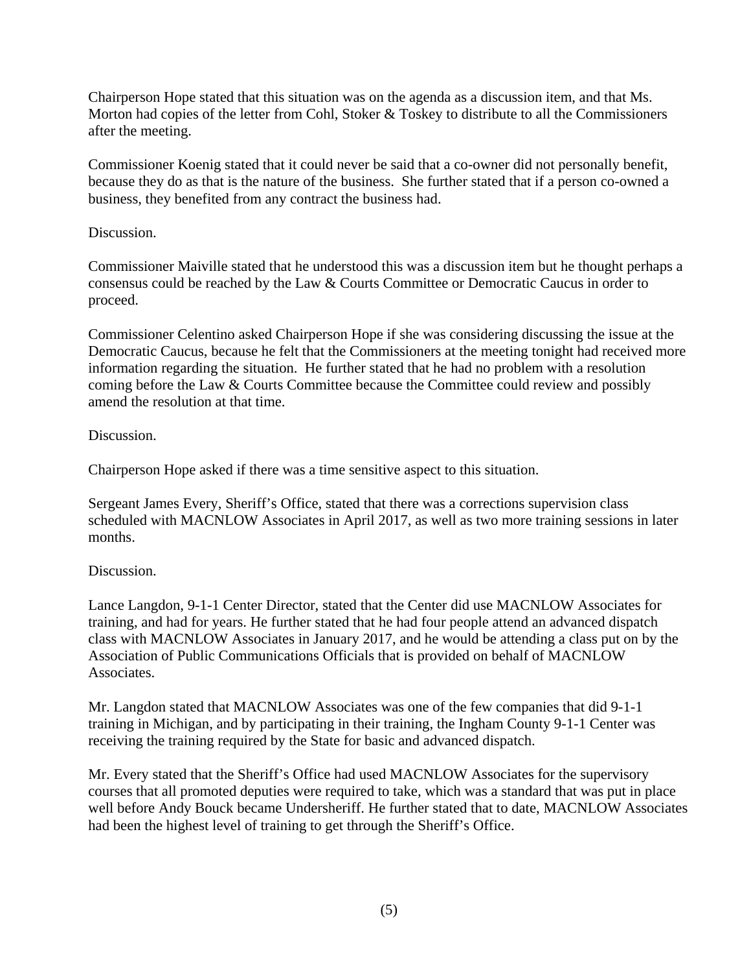Chairperson Hope stated that this situation was on the agenda as a discussion item, and that Ms. Morton had copies of the letter from Cohl, Stoker & Toskey to distribute to all the Commissioners after the meeting.

Commissioner Koenig stated that it could never be said that a co-owner did not personally benefit, because they do as that is the nature of the business. She further stated that if a person co-owned a business, they benefited from any contract the business had.

#### Discussion.

Commissioner Maiville stated that he understood this was a discussion item but he thought perhaps a consensus could be reached by the Law & Courts Committee or Democratic Caucus in order to proceed.

Commissioner Celentino asked Chairperson Hope if she was considering discussing the issue at the Democratic Caucus, because he felt that the Commissioners at the meeting tonight had received more information regarding the situation. He further stated that he had no problem with a resolution coming before the Law & Courts Committee because the Committee could review and possibly amend the resolution at that time.

## Discussion.

Chairperson Hope asked if there was a time sensitive aspect to this situation.

Sergeant James Every, Sheriff's Office, stated that there was a corrections supervision class scheduled with MACNLOW Associates in April 2017, as well as two more training sessions in later months.

## Discussion.

Lance Langdon, 9-1-1 Center Director, stated that the Center did use MACNLOW Associates for training, and had for years. He further stated that he had four people attend an advanced dispatch class with MACNLOW Associates in January 2017, and he would be attending a class put on by the Association of Public Communications Officials that is provided on behalf of MACNLOW Associates.

Mr. Langdon stated that MACNLOW Associates was one of the few companies that did 9-1-1 training in Michigan, and by participating in their training, the Ingham County 9-1-1 Center was receiving the training required by the State for basic and advanced dispatch.

Mr. Every stated that the Sheriff's Office had used MACNLOW Associates for the supervisory courses that all promoted deputies were required to take, which was a standard that was put in place well before Andy Bouck became Undersheriff. He further stated that to date, MACNLOW Associates had been the highest level of training to get through the Sheriff's Office.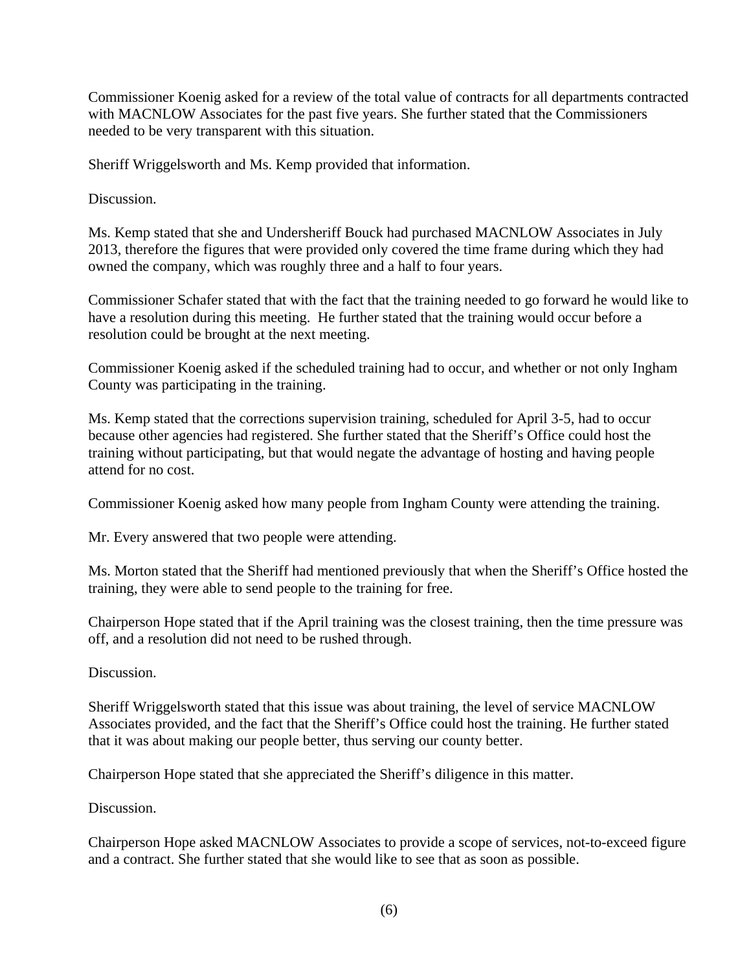Commissioner Koenig asked for a review of the total value of contracts for all departments contracted with MACNLOW Associates for the past five years. She further stated that the Commissioners needed to be very transparent with this situation.

Sheriff Wriggelsworth and Ms. Kemp provided that information.

Discussion.

Ms. Kemp stated that she and Undersheriff Bouck had purchased MACNLOW Associates in July 2013, therefore the figures that were provided only covered the time frame during which they had owned the company, which was roughly three and a half to four years.

Commissioner Schafer stated that with the fact that the training needed to go forward he would like to have a resolution during this meeting. He further stated that the training would occur before a resolution could be brought at the next meeting.

Commissioner Koenig asked if the scheduled training had to occur, and whether or not only Ingham County was participating in the training.

Ms. Kemp stated that the corrections supervision training, scheduled for April 3-5, had to occur because other agencies had registered. She further stated that the Sheriff's Office could host the training without participating, but that would negate the advantage of hosting and having people attend for no cost.

Commissioner Koenig asked how many people from Ingham County were attending the training.

Mr. Every answered that two people were attending.

Ms. Morton stated that the Sheriff had mentioned previously that when the Sheriff's Office hosted the training, they were able to send people to the training for free.

Chairperson Hope stated that if the April training was the closest training, then the time pressure was off, and a resolution did not need to be rushed through.

Discussion.

Sheriff Wriggelsworth stated that this issue was about training, the level of service MACNLOW Associates provided, and the fact that the Sheriff's Office could host the training. He further stated that it was about making our people better, thus serving our county better.

Chairperson Hope stated that she appreciated the Sheriff's diligence in this matter.

Discussion.

Chairperson Hope asked MACNLOW Associates to provide a scope of services, not-to-exceed figure and a contract. She further stated that she would like to see that as soon as possible.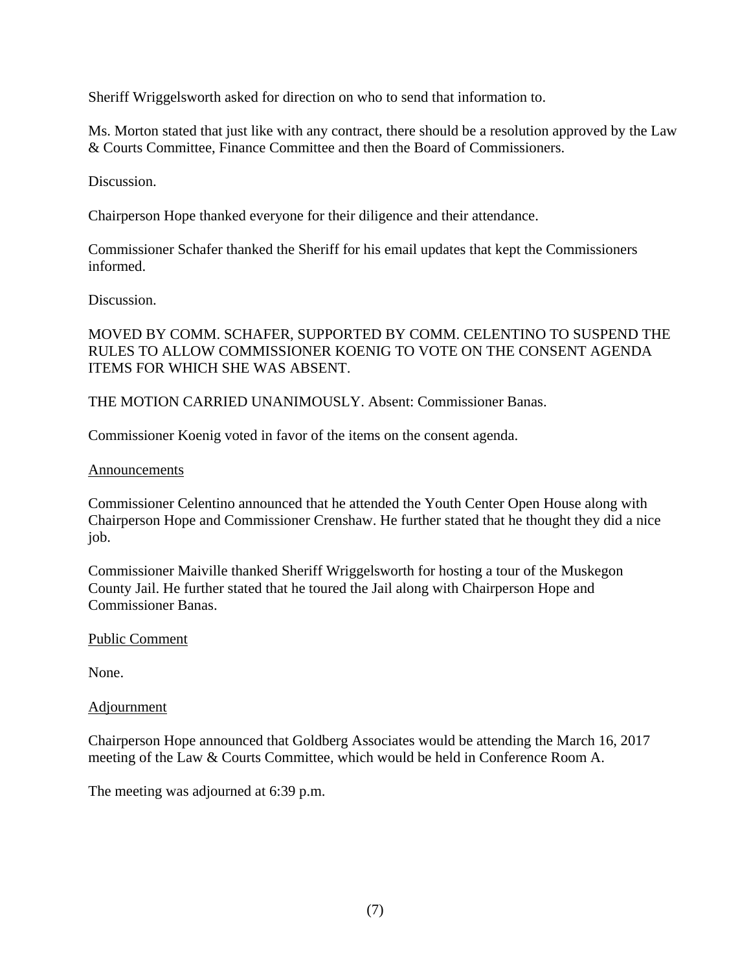Sheriff Wriggelsworth asked for direction on who to send that information to.

Ms. Morton stated that just like with any contract, there should be a resolution approved by the Law & Courts Committee, Finance Committee and then the Board of Commissioners.

Discussion.

Chairperson Hope thanked everyone for their diligence and their attendance.

Commissioner Schafer thanked the Sheriff for his email updates that kept the Commissioners informed.

Discussion.

MOVED BY COMM. SCHAFER, SUPPORTED BY COMM. CELENTINO TO SUSPEND THE RULES TO ALLOW COMMISSIONER KOENIG TO VOTE ON THE CONSENT AGENDA ITEMS FOR WHICH SHE WAS ABSENT.

THE MOTION CARRIED UNANIMOUSLY. Absent: Commissioner Banas.

Commissioner Koenig voted in favor of the items on the consent agenda.

#### **Announcements**

Commissioner Celentino announced that he attended the Youth Center Open House along with Chairperson Hope and Commissioner Crenshaw. He further stated that he thought they did a nice job.

Commissioner Maiville thanked Sheriff Wriggelsworth for hosting a tour of the Muskegon County Jail. He further stated that he toured the Jail along with Chairperson Hope and Commissioner Banas.

Public Comment

None.

#### **Adjournment**

Chairperson Hope announced that Goldberg Associates would be attending the March 16, 2017 meeting of the Law & Courts Committee, which would be held in Conference Room A.

The meeting was adjourned at 6:39 p.m.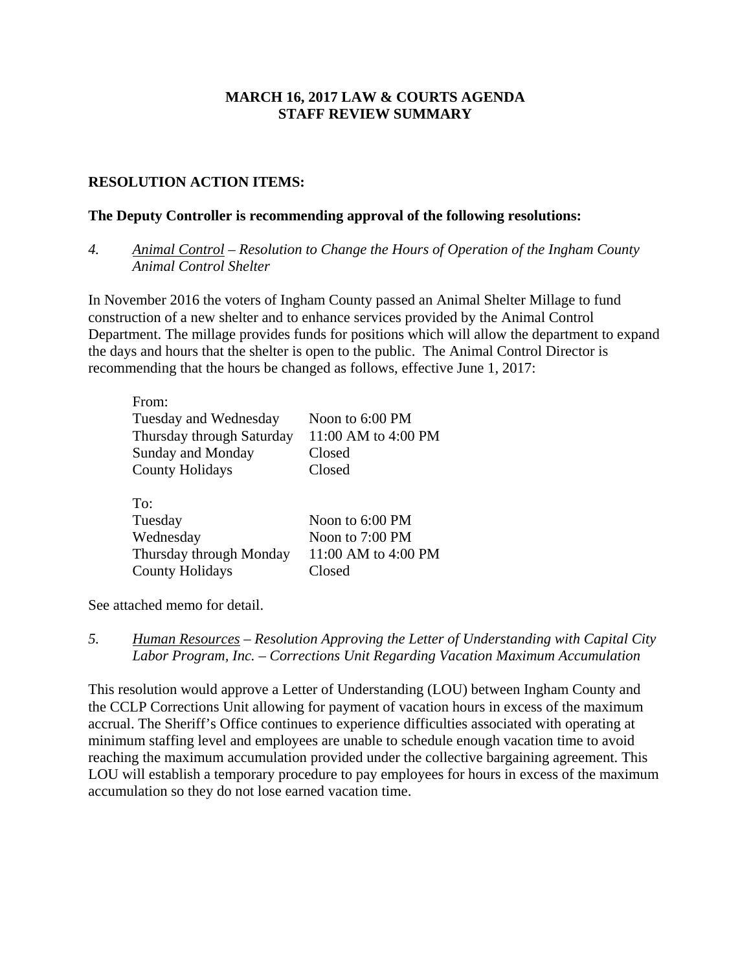## **MARCH 16, 2017 LAW & COURTS AGENDA STAFF REVIEW SUMMARY**

#### **RESOLUTION ACTION ITEMS:**

#### **The Deputy Controller is recommending approval of the following resolutions:**

*4. Animal Control – Resolution to Change the Hours of Operation of the Ingham County Animal Control Shelter*

In November 2016 the voters of Ingham County passed an Animal Shelter Millage to fund construction of a new shelter and to enhance services provided by the Animal Control Department. The millage provides funds for positions which will allow the department to expand the days and hours that the shelter is open to the public. The Animal Control Director is recommending that the hours be changed as follows, effective June 1, 2017:

| From:                     |                     |
|---------------------------|---------------------|
| Tuesday and Wednesday     | Noon to $6:00$ PM   |
| Thursday through Saturday | 11:00 AM to 4:00 PM |
| <b>Sunday and Monday</b>  | Closed              |
| <b>County Holidays</b>    | Closed              |
|                           |                     |
| To:                       |                     |
| Tuesday                   | Noon to 6:00 PM     |
| Wednesday                 | Noon to 7:00 PM     |
| Thursday through Monday   | 11:00 AM to 4:00 PM |
| <b>County Holidays</b>    | Closed              |

See attached memo for detail.

#### *5. Human Resources – Resolution Approving the Letter of Understanding with Capital City Labor Program, Inc. – Corrections Unit Regarding Vacation Maximum Accumulation*

This resolution would approve a Letter of Understanding (LOU) between Ingham County and the CCLP Corrections Unit allowing for payment of vacation hours in excess of the maximum accrual. The Sheriff's Office continues to experience difficulties associated with operating at minimum staffing level and employees are unable to schedule enough vacation time to avoid reaching the maximum accumulation provided under the collective bargaining agreement. This LOU will establish a temporary procedure to pay employees for hours in excess of the maximum accumulation so they do not lose earned vacation time.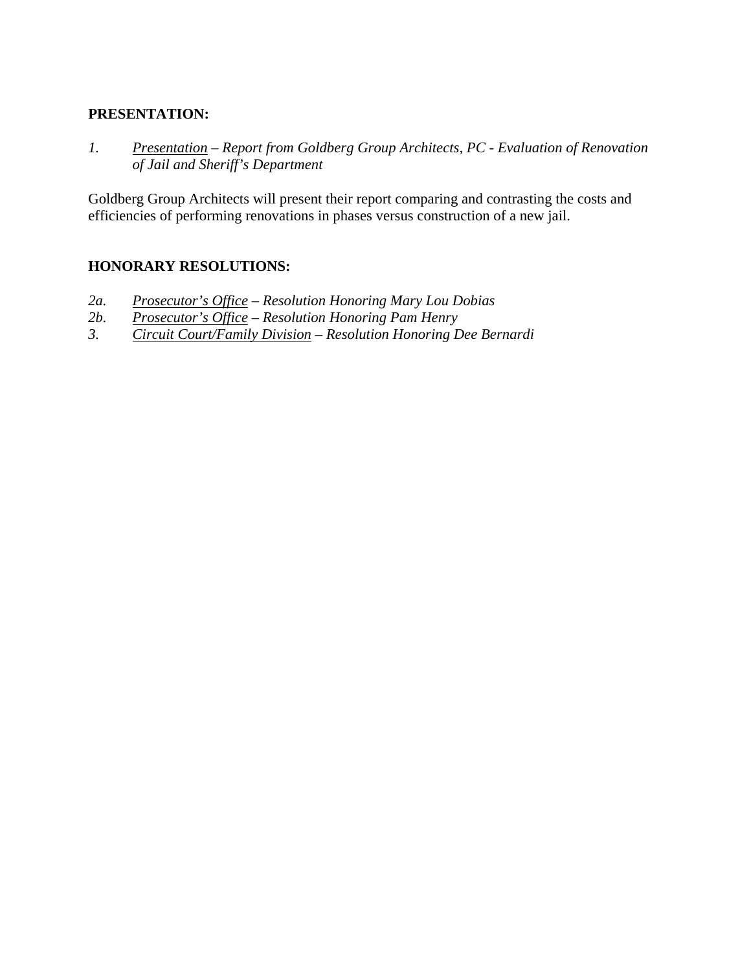## **PRESENTATION:**

*1. Presentation – Report from Goldberg Group Architects, PC - Evaluation of Renovation of Jail and Sheriff's Department* 

Goldberg Group Architects will present their report comparing and contrasting the costs and efficiencies of performing renovations in phases versus construction of a new jail.

## **HONORARY RESOLUTIONS:**

- *2a. Prosecutor's Office Resolution Honoring Mary Lou Dobias*
- *2b. Prosecutor's Office Resolution Honoring Pam Henry*
- *3. Circuit Court/Family Division Resolution Honoring Dee Bernardi*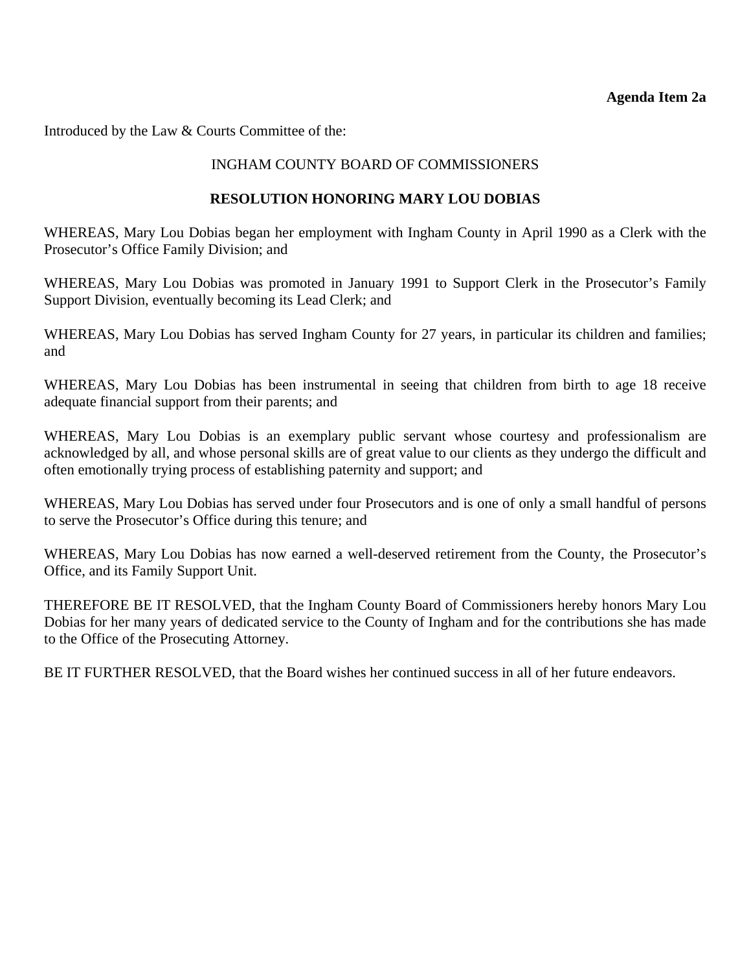<span id="page-10-0"></span>Introduced by the Law & Courts Committee of the:

# INGHAM COUNTY BOARD OF COMMISSIONERS

## **RESOLUTION HONORING MARY LOU DOBIAS**

WHEREAS, Mary Lou Dobias began her employment with Ingham County in April 1990 as a Clerk with the Prosecutor's Office Family Division; and

WHEREAS, Mary Lou Dobias was promoted in January 1991 to Support Clerk in the Prosecutor's Family Support Division, eventually becoming its Lead Clerk; and

WHEREAS, Mary Lou Dobias has served Ingham County for 27 years, in particular its children and families; and

WHEREAS, Mary Lou Dobias has been instrumental in seeing that children from birth to age 18 receive adequate financial support from their parents; and

WHEREAS, Mary Lou Dobias is an exemplary public servant whose courtesy and professionalism are acknowledged by all, and whose personal skills are of great value to our clients as they undergo the difficult and often emotionally trying process of establishing paternity and support; and

WHEREAS, Mary Lou Dobias has served under four Prosecutors and is one of only a small handful of persons to serve the Prosecutor's Office during this tenure; and

WHEREAS, Mary Lou Dobias has now earned a well-deserved retirement from the County, the Prosecutor's Office, and its Family Support Unit.

THEREFORE BE IT RESOLVED, that the Ingham County Board of Commissioners hereby honors Mary Lou Dobias for her many years of dedicated service to the County of Ingham and for the contributions she has made to the Office of the Prosecuting Attorney.

BE IT FURTHER RESOLVED, that the Board wishes her continued success in all of her future endeavors.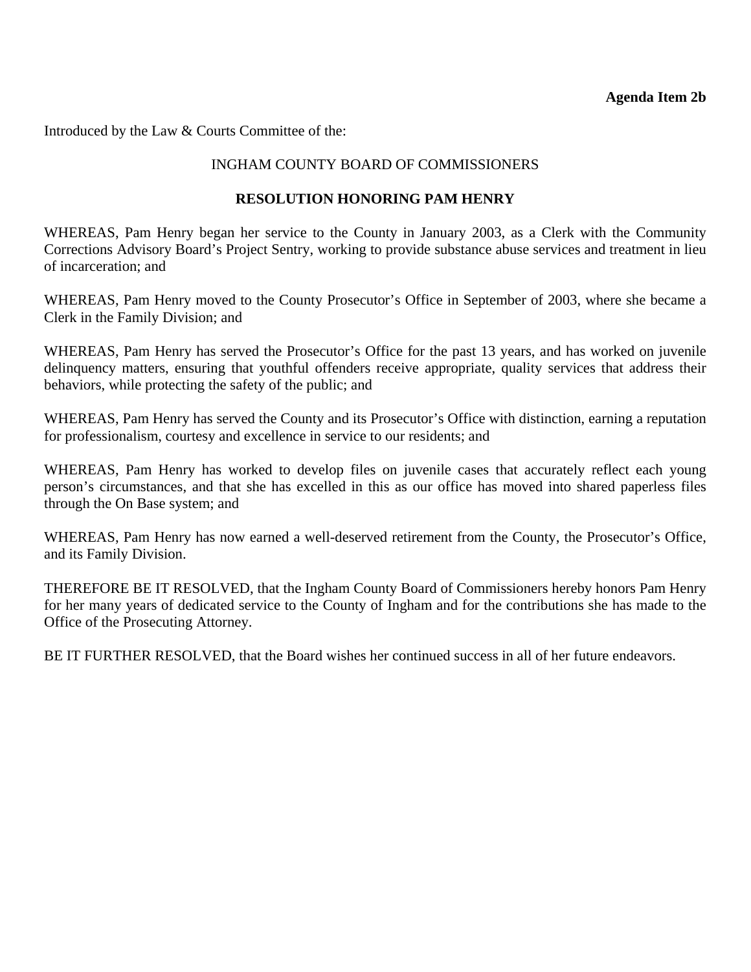<span id="page-11-0"></span>Introduced by the Law & Courts Committee of the:

## INGHAM COUNTY BOARD OF COMMISSIONERS

## **RESOLUTION HONORING PAM HENRY**

WHEREAS, Pam Henry began her service to the County in January 2003, as a Clerk with the Community Corrections Advisory Board's Project Sentry, working to provide substance abuse services and treatment in lieu of incarceration; and

WHEREAS, Pam Henry moved to the County Prosecutor's Office in September of 2003, where she became a Clerk in the Family Division; and

WHEREAS, Pam Henry has served the Prosecutor's Office for the past 13 years, and has worked on juvenile delinquency matters, ensuring that youthful offenders receive appropriate, quality services that address their behaviors, while protecting the safety of the public; and

WHEREAS, Pam Henry has served the County and its Prosecutor's Office with distinction, earning a reputation for professionalism, courtesy and excellence in service to our residents; and

WHEREAS, Pam Henry has worked to develop files on juvenile cases that accurately reflect each young person's circumstances, and that she has excelled in this as our office has moved into shared paperless files through the On Base system; and

WHEREAS, Pam Henry has now earned a well-deserved retirement from the County, the Prosecutor's Office, and its Family Division.

THEREFORE BE IT RESOLVED, that the Ingham County Board of Commissioners hereby honors Pam Henry for her many years of dedicated service to the County of Ingham and for the contributions she has made to the Office of the Prosecuting Attorney.

BE IT FURTHER RESOLVED, that the Board wishes her continued success in all of her future endeavors.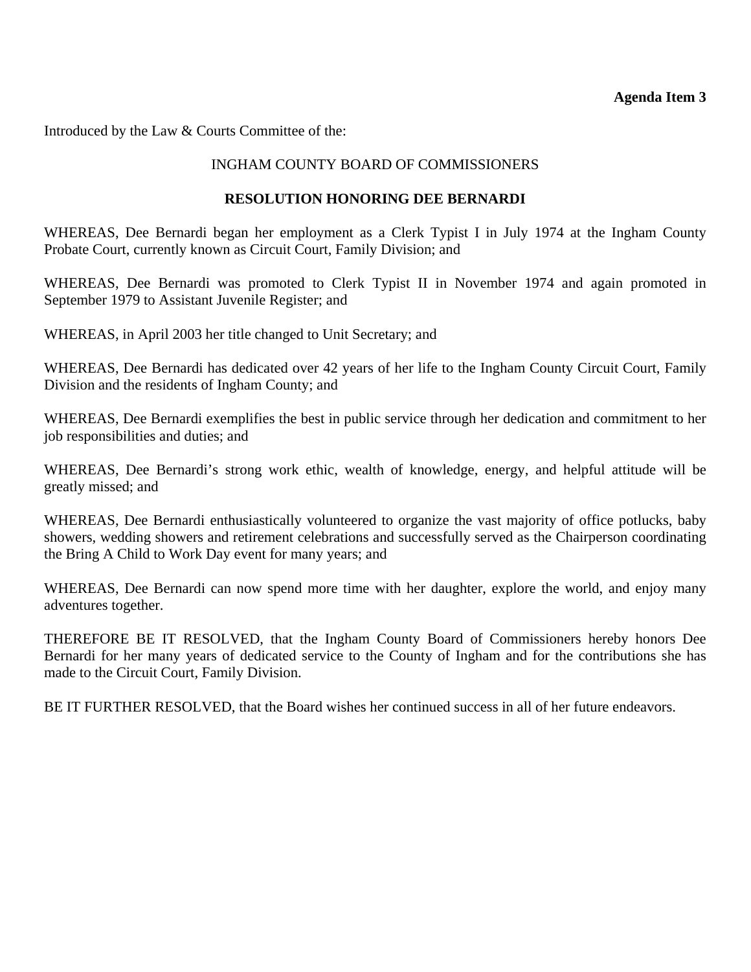## **Agenda Item 3**

<span id="page-12-0"></span>Introduced by the Law & Courts Committee of the:

# INGHAM COUNTY BOARD OF COMMISSIONERS

#### **RESOLUTION HONORING DEE BERNARDI**

WHEREAS, Dee Bernardi began her employment as a Clerk Typist I in July 1974 at the Ingham County Probate Court, currently known as Circuit Court, Family Division; and

WHEREAS, Dee Bernardi was promoted to Clerk Typist II in November 1974 and again promoted in September 1979 to Assistant Juvenile Register; and

WHEREAS, in April 2003 her title changed to Unit Secretary; and

WHEREAS, Dee Bernardi has dedicated over 42 years of her life to the Ingham County Circuit Court, Family Division and the residents of Ingham County; and

WHEREAS, Dee Bernardi exemplifies the best in public service through her dedication and commitment to her job responsibilities and duties; and

WHEREAS, Dee Bernardi's strong work ethic, wealth of knowledge, energy, and helpful attitude will be greatly missed; and

WHEREAS, Dee Bernardi enthusiastically volunteered to organize the vast majority of office potlucks, baby showers, wedding showers and retirement celebrations and successfully served as the Chairperson coordinating the Bring A Child to Work Day event for many years; and

WHEREAS, Dee Bernardi can now spend more time with her daughter, explore the world, and enjoy many adventures together.

THEREFORE BE IT RESOLVED, that the Ingham County Board of Commissioners hereby honors Dee Bernardi for her many years of dedicated service to the County of Ingham and for the contributions she has made to the Circuit Court, Family Division.

BE IT FURTHER RESOLVED, that the Board wishes her continued success in all of her future endeavors.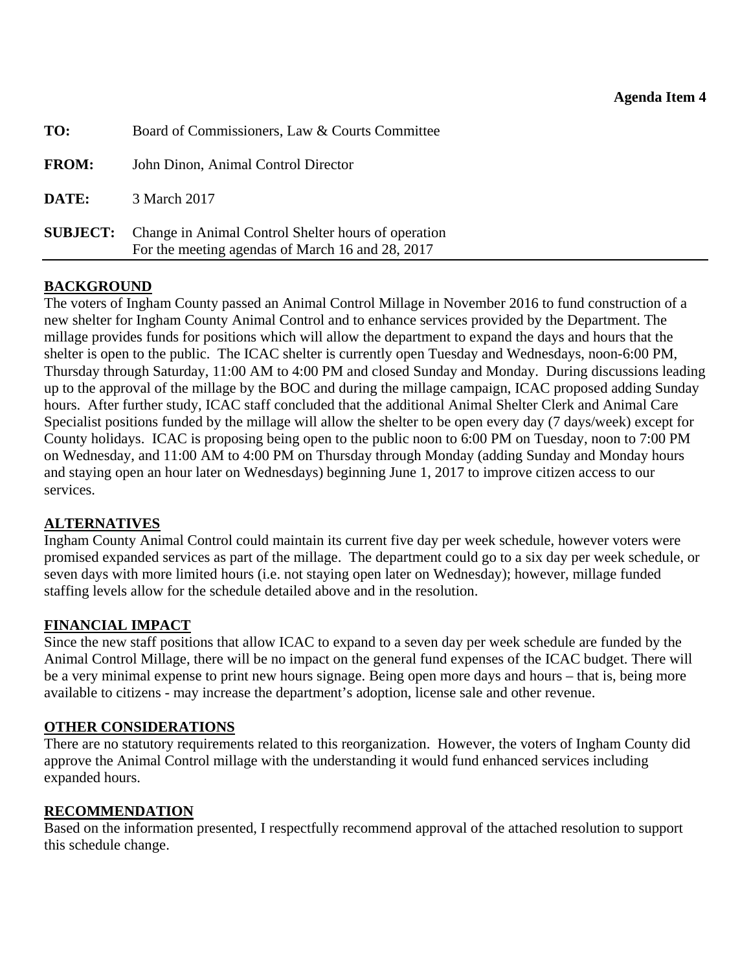<span id="page-13-0"></span>

| TO:             | Board of Commissioners, Law & Courts Committee                                                          |
|-----------------|---------------------------------------------------------------------------------------------------------|
| <b>FROM:</b>    | John Dinon, Animal Control Director                                                                     |
| DATE:           | 3 March 2017                                                                                            |
| <b>SUBJECT:</b> | Change in Animal Control Shelter hours of operation<br>For the meeting agendas of March 16 and 28, 2017 |

## **BACKGROUND**

The voters of Ingham County passed an Animal Control Millage in November 2016 to fund construction of a new shelter for Ingham County Animal Control and to enhance services provided by the Department. The millage provides funds for positions which will allow the department to expand the days and hours that the shelter is open to the public. The ICAC shelter is currently open Tuesday and Wednesdays, noon-6:00 PM, Thursday through Saturday, 11:00 AM to 4:00 PM and closed Sunday and Monday. During discussions leading up to the approval of the millage by the BOC and during the millage campaign, ICAC proposed adding Sunday hours. After further study, ICAC staff concluded that the additional Animal Shelter Clerk and Animal Care Specialist positions funded by the millage will allow the shelter to be open every day (7 days/week) except for County holidays. ICAC is proposing being open to the public noon to 6:00 PM on Tuesday, noon to 7:00 PM on Wednesday, and 11:00 AM to 4:00 PM on Thursday through Monday (adding Sunday and Monday hours and staying open an hour later on Wednesdays) beginning June 1, 2017 to improve citizen access to our services.

#### **ALTERNATIVES**

Ingham County Animal Control could maintain its current five day per week schedule, however voters were promised expanded services as part of the millage. The department could go to a six day per week schedule, or seven days with more limited hours (i.e. not staying open later on Wednesday); however, millage funded staffing levels allow for the schedule detailed above and in the resolution.

#### **FINANCIAL IMPACT**

Since the new staff positions that allow ICAC to expand to a seven day per week schedule are funded by the Animal Control Millage, there will be no impact on the general fund expenses of the ICAC budget. There will be a very minimal expense to print new hours signage. Being open more days and hours – that is, being more available to citizens - may increase the department's adoption, license sale and other revenue.

#### **OTHER CONSIDERATIONS**

There are no statutory requirements related to this reorganization. However, the voters of Ingham County did approve the Animal Control millage with the understanding it would fund enhanced services including expanded hours.

#### **RECOMMENDATION**

Based on the information presented, I respectfully recommend approval of the attached resolution to support this schedule change.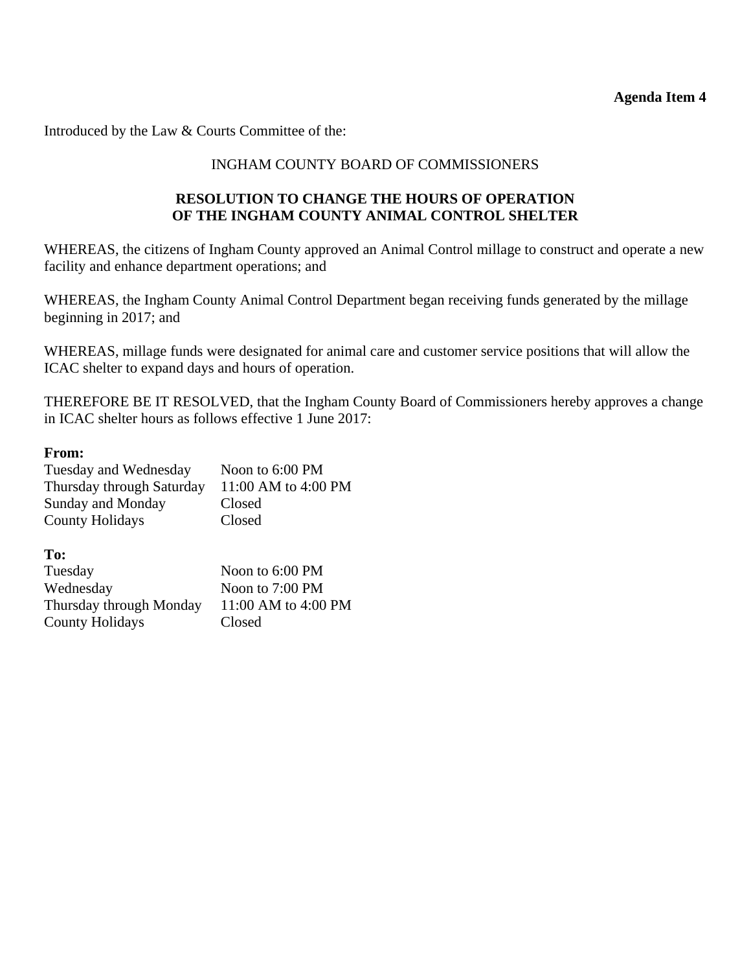#### **Agenda Item 4**

Introduced by the Law & Courts Committee of the:

# INGHAM COUNTY BOARD OF COMMISSIONERS

## **RESOLUTION TO CHANGE THE HOURS OF OPERATION OF THE INGHAM COUNTY ANIMAL CONTROL SHELTER**

WHEREAS, the citizens of Ingham County approved an Animal Control millage to construct and operate a new facility and enhance department operations; and

WHEREAS, the Ingham County Animal Control Department began receiving funds generated by the millage beginning in 2017; and

WHEREAS, millage funds were designated for animal care and customer service positions that will allow the ICAC shelter to expand days and hours of operation.

THEREFORE BE IT RESOLVED, that the Ingham County Board of Commissioners hereby approves a change in ICAC shelter hours as follows effective 1 June 2017:

#### **From:**

| Tuesday and Wednesday     | Noon to 6:00 PM     |
|---------------------------|---------------------|
| Thursday through Saturday | 11:00 AM to 4:00 PM |
| Sunday and Monday         | Closed              |
| <b>County Holidays</b>    | Closed              |

#### **To:**

| Tuesday                 | Noon to 6:00 PM     |
|-------------------------|---------------------|
| Wednesday               | Noon to 7:00 PM     |
| Thursday through Monday | 11:00 AM to 4:00 PM |
| <b>County Holidays</b>  | Closed              |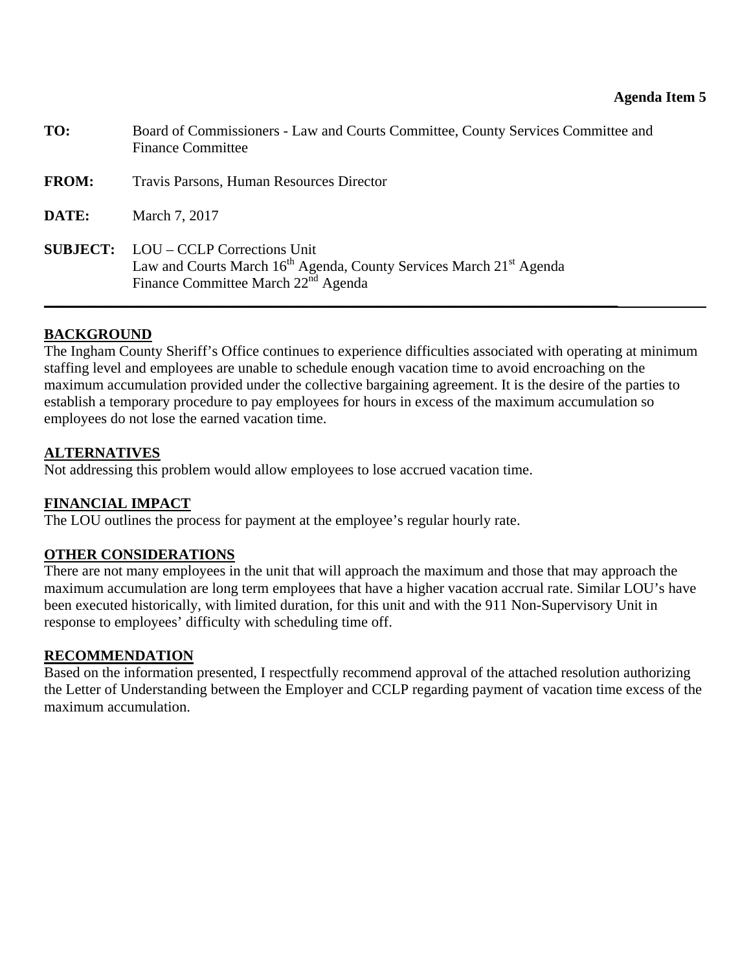<span id="page-15-0"></span>

| TO:          | Board of Commissioners - Law and Courts Committee, County Services Committee and<br><b>Finance Committee</b>                                                                                  |
|--------------|-----------------------------------------------------------------------------------------------------------------------------------------------------------------------------------------------|
| <b>FROM:</b> | Travis Parsons, Human Resources Director                                                                                                                                                      |
| DATE:        | March 7, 2017                                                                                                                                                                                 |
|              | <b>SUBJECT:</b> LOU – CCLP Corrections Unit<br>Law and Courts March 16 <sup>th</sup> Agenda, County Services March 21 <sup>st</sup> Agenda<br>Finance Committee March 22 <sup>nd</sup> Agenda |

## **BACKGROUND**

The Ingham County Sheriff's Office continues to experience difficulties associated with operating at minimum staffing level and employees are unable to schedule enough vacation time to avoid encroaching on the maximum accumulation provided under the collective bargaining agreement. It is the desire of the parties to establish a temporary procedure to pay employees for hours in excess of the maximum accumulation so employees do not lose the earned vacation time.

## **ALTERNATIVES**

Not addressing this problem would allow employees to lose accrued vacation time.

## **FINANCIAL IMPACT**

The LOU outlines the process for payment at the employee's regular hourly rate.

## **OTHER CONSIDERATIONS**

There are not many employees in the unit that will approach the maximum and those that may approach the maximum accumulation are long term employees that have a higher vacation accrual rate. Similar LOU's have been executed historically, with limited duration, for this unit and with the 911 Non-Supervisory Unit in response to employees' difficulty with scheduling time off.

## **RECOMMENDATION**

Based on the information presented, I respectfully recommend approval of the attached resolution authorizing the Letter of Understanding between the Employer and CCLP regarding payment of vacation time excess of the maximum accumulation.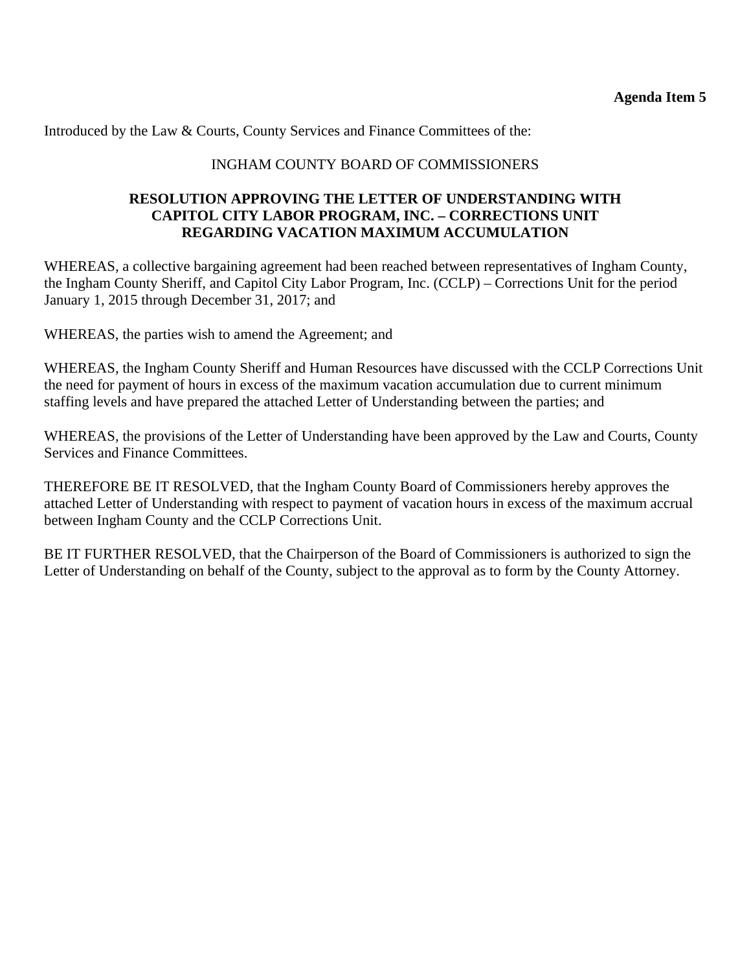Introduced by the Law & Courts, County Services and Finance Committees of the:

# INGHAM COUNTY BOARD OF COMMISSIONERS

## **RESOLUTION APPROVING THE LETTER OF UNDERSTANDING WITH CAPITOL CITY LABOR PROGRAM, INC. – CORRECTIONS UNIT REGARDING VACATION MAXIMUM ACCUMULATION**

WHEREAS, a collective bargaining agreement had been reached between representatives of Ingham County, the Ingham County Sheriff, and Capitol City Labor Program, Inc. (CCLP) – Corrections Unit for the period January 1, 2015 through December 31, 2017; and

WHEREAS, the parties wish to amend the Agreement; and

WHEREAS, the Ingham County Sheriff and Human Resources have discussed with the CCLP Corrections Unit the need for payment of hours in excess of the maximum vacation accumulation due to current minimum staffing levels and have prepared the attached Letter of Understanding between the parties; and

WHEREAS, the provisions of the Letter of Understanding have been approved by the Law and Courts, County Services and Finance Committees.

THEREFORE BE IT RESOLVED, that the Ingham County Board of Commissioners hereby approves the attached Letter of Understanding with respect to payment of vacation hours in excess of the maximum accrual between Ingham County and the CCLP Corrections Unit.

BE IT FURTHER RESOLVED, that the Chairperson of the Board of Commissioners is authorized to sign the Letter of Understanding on behalf of the County, subject to the approval as to form by the County Attorney.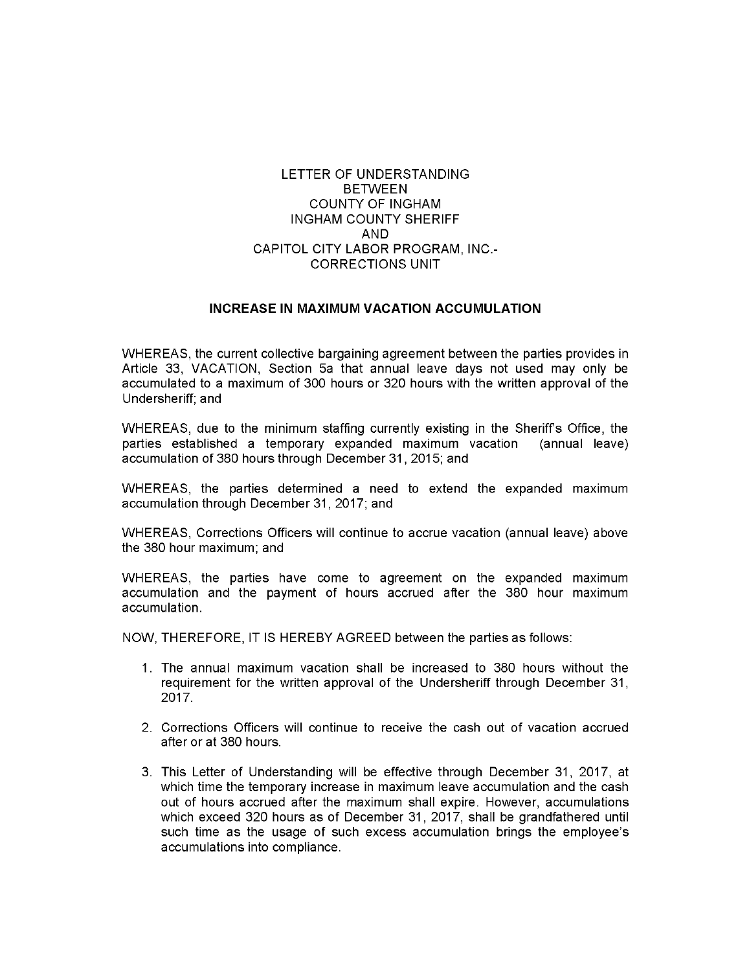#### LETTER OF UNDERSTANDING **BETWEEN COUNTY OF INGHAM INGHAM COUNTY SHERIFF** AND. CAPITOL CITY LABOR PROGRAM, INC.-**CORRECTIONS UNIT**

#### **INCREASE IN MAXIMUM VACATION ACCUMULATION**

WHEREAS, the current collective bargaining agreement between the parties provides in Article 33, VACATION, Section 5a that annual leave days not used may only be accumulated to a maximum of 300 hours or 320 hours with the written approval of the Undersheriff: and

WHEREAS, due to the minimum staffing currently existing in the Sheriff's Office, the parties established a temporary expanded maximum vacation (annual leave) accumulation of 380 hours through December 31, 2015; and

WHEREAS, the parties determined a need to extend the expanded maximum accumulation through December 31, 2017; and

WHEREAS, Corrections Officers will continue to accrue vacation (annual leave) above the 380 hour maximum; and

WHEREAS, the parties have come to agreement on the expanded maximum accumulation and the payment of hours accrued after the 380 hour maximum accumulation

NOW, THEREFORE, IT IS HEREBY AGREED between the parties as follows:

- 1. The annual maximum vacation shall be increased to 380 hours without the requirement for the written approval of the Undersheriff through December 31, 2017.
- 2. Corrections Officers will continue to receive the cash out of vacation accrued after or at 380 hours.
- 3. This Letter of Understanding will be effective through December 31, 2017, at which time the temporary increase in maximum leave accumulation and the cash out of hours accrued after the maximum shall expire. However, accumulations which exceed 320 hours as of December 31, 2017, shall be grandfathered until such time as the usage of such excess accumulation brings the employee's accumulations into compliance.